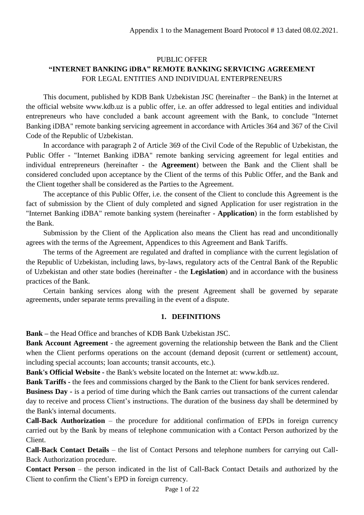# PUBLIC OFFER **"INTERNET BANKING iDBA" REMOTE BANKING SERVICING AGREEMENT**  FOR LEGAL ENTITIES AND INDIVIDUAL ENTERPRENEURS

This document, published by KDB Bank Uzbekistan JSC (hereinafter – the Bank) in the Internet at the official website www.kdb.uz is a public offer, i.e. an offer addressed to legal entities and individual entrepreneurs who have concluded a bank account agreement with the Bank, to conclude "Internet Banking iDBA" remote banking servicing agreement in accordance with Articles 364 and 367 of the Civil Code of the Republic of Uzbekistan.

In accordance with paragraph 2 of Article 369 of the Civil Code of the Republic of Uzbekistan, the Public Offer - "Internet Banking iDBA" remote banking servicing agreement for legal entities and individual entrepreneurs (hereinafter - the **Agreement**) between the Bank and the Client shall be considered concluded upon acceptance by the Client of the terms of this Public Offer, and the Bank and the Client together shall be considered as the Parties to the Agreement.

The acceptance of this Public Offer, i.e. the consent of the Client to conclude this Agreement is the fact of submission by the Client of duly completed and signed Application for user registration in the "Internet Banking iDBA" remote banking system (hereinafter - **Application**) in the form established by the Bank.

Submission by the Client of the Application also means the Client has read and unconditionally agrees with the terms of the Agreement, Appendices to this Agreement and Bank Tariffs.

The terms of the Agreement are regulated and drafted in compliance with the current legislation of the Republic of Uzbekistan, including laws, by-laws, regulatory acts of the Central Bank of the Republic of Uzbekistan and other state bodies (hereinafter - the **Legislation**) and in accordance with the business practices of the Bank.

Certain banking services along with the present Agreement shall be governed by separate agreements, under separate terms prevailing in the event of a dispute.

# **1. DEFINITIONS**

**Bank –** the Head Office and branches of KDB Bank Uzbekistan JSC.

**Bank Account Agreement** - the agreement governing the relationship between the Bank and the Client when the Client performs operations on the account (demand deposit (current or settlement) account, including special accounts; loan accounts; transit accounts, etc.).

**Bank's Official Website -** the Bank's website located on the Internet at: www.kdb.uz.

**Bank Tariffs** - the fees and commissions charged by the Bank to the Client for bank services rendered.

**Business Day -** is a period of time during which the Bank carries out transactions of the current calendar day to receive and process Client's instructions. The duration of the business day shall be determined by the Bank's internal documents.

**Call-Back Authorization** – the procedure for additional confirmation of EPDs in foreign currency carried out by the Bank by means of telephone communication with a Contact Person authorized by the Client.

**Call-Back Contact Details** – the list of Contact Persons and telephone numbers for carrying out Call-Back Authorization procedure.

**Contact Person** – the person indicated in the list of Call-Back Contact Details and authorized by the Client to confirm the Client's EPD in foreign currency.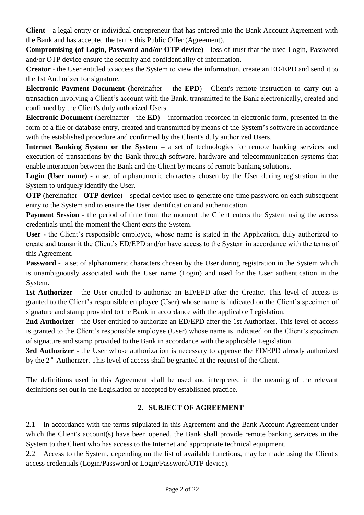**Client** - a legal entity or individual entrepreneur that has entered into the Bank Account Agreement with the Bank and has accepted the terms this Public Offer (Agreement).

**Compromising (of Login, Password and/or OTP device) -** loss of trust that the used Login, Password and/or OTP device ensure the security and confidentiality of information.

**Creator -** the User entitled to access the System to view the information, create an ED/EPD and send it to the 1st Authorizer for signature.

**Electronic Payment Document** (hereinafter – the **EPD**) **-** Client's remote instruction to carry out a transaction involving a Client's account with the Bank, transmitted to the Bank electronically, created and confirmed by the Client's duly authorized Users.

**Electronic Document** (hereinafter **-** the **ED**) **–** information recorded in electronic form, presented in the form of a file or database entry, created and transmitted by means of the System's software in accordance with the established procedure and confirmed by the Client's duly authorized Users.

**Internet Banking System or the System –** a set of technologies for remote banking services and execution of transactions by the Bank through software, hardware and telecommunication systems that enable interaction between the Bank and the Client by means of remote banking solutions.

**Login (User name) -** a set of alphanumeric characters chosen by the User during registration in the System to uniquely identify the User.

**OTP** (hereinafter - **OTP device**) – special device used to generate one-time password on each subsequent entry to the System and to ensure the User identification and authentication.

**Payment Session** - the period of time from the moment the Client enters the System using the access credentials until the moment the Client exits the System.

**User -** the Client's responsible employee, whose name is stated in the Application, duly authorized to create and transmit the Client's ED/EPD and/or have access to the System in accordance with the terms of this Agreement.

**Password** - a set of alphanumeric characters chosen by the User during registration in the System which is unambiguously associated with the User name (Login) and used for the User authentication in the System.

**1st Authorizer** - the User entitled to authorize an ED/EPD after the Creator. This level of access is granted to the Client's responsible employee (User) whose name is indicated on the Client's specimen of signature and stamp provided to the Bank in accordance with the applicable Legislation.

**2nd Authorizer** - the User entitled to authorize an ED/EPD after the 1st Authorizer. This level of access is granted to the Client's responsible employee (User) whose name is indicated on the Client's specimen of signature and stamp provided to the Bank in accordance with the applicable Legislation.

**3rd Authorizer** - the User whose authorization is necessary to approve the ED/EPD already authorized by the  $2<sup>nd</sup>$  Authorizer. This level of access shall be granted at the request of the Client.

The definitions used in this Agreement shall be used and interpreted in the meaning of the relevant definitions set out in the Legislation or accepted by established practice.

# **2. SUBJECT OF AGREEMENT**

2.1 In accordance with the terms stipulated in this Agreement and the Bank Account Agreement under which the Client's account(s) have been opened, the Bank shall provide remote banking services in the System to the Client who has access to the Internet and appropriate technical equipment.

2.2 Access to the System, depending on the list of available functions, may be made using the Client's access credentials (Login/Password or Login/Password/OTP device).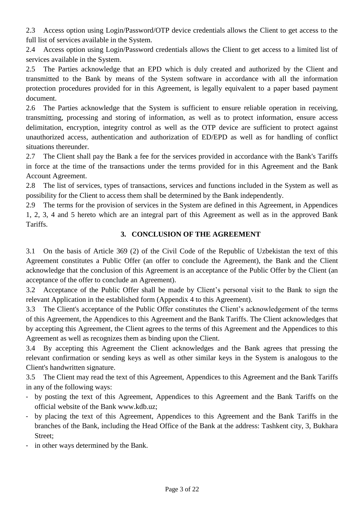2.3 Access option using Login/Password/OTP device credentials allows the Client to get access to the full list of services available in the System.

2.4 Access option using Login/Password credentials allows the Client to get access to a limited list of services available in the System.

2.5 The Parties acknowledge that an EPD which is duly created and authorized by the Client and transmitted to the Bank by means of the System software in accordance with all the information protection procedures provided for in this Agreement, is legally equivalent to a paper based payment document.

2.6 The Parties acknowledge that the System is sufficient to ensure reliable operation in receiving, transmitting, processing and storing of information, as well as to protect information, ensure access delimitation, encryption, integrity control as well as the OTP device are sufficient to protect against unauthorized access, authentication and authorization of ED/EPD as well as for handling of conflict situations thereunder.

2.7 The Client shall pay the Bank a fee for the services provided in accordance with the Bank's Tariffs in force at the time of the transactions under the terms provided for in this Agreement and the Bank Account Agreement.

2.8 The list of services, types of transactions, services and functions included in the System as well as possibility for the Client to access them shall be determined by the Bank independently.

2.9 The terms for the provision of services in the System are defined in this Agreement, in Appendices 1, 2, 3, 4 and 5 hereto which are an integral part of this Agreement as well as in the approved Bank Tariffs.

# **3. CONCLUSION OF THE AGREEMENT**

3.1 On the basis of Article 369 (2) of the Civil Code of the Republic of Uzbekistan the text of this Agreement constitutes a Public Offer (an offer to conclude the Agreement), the Bank and the Client acknowledge that the conclusion of this Agreement is an acceptance of the Public Offer by the Client (an acceptance of the offer to conclude an Agreement).

3.2 Acceptance of the Public Offer shall be made by Client's personal visit to the Bank to sign the relevant Application in the established form (Appendix 4 to this Agreement).

3.3 The Client's acceptance of the Public Offer constitutes the Client's acknowledgement of the terms of this Agreement, the Appendices to this Agreement and the Bank Tariffs. The Client acknowledges that by accepting this Agreement, the Client agrees to the terms of this Agreement and the Appendices to this Agreement as well as recognizes them as binding upon the Client.

3.4 By accepting this Agreement the Client acknowledges and the Bank agrees that pressing the relevant confirmation or sending keys as well as other similar keys in the System is analogous to the Client's handwritten signature.

3.5 The Client may read the text of this Agreement, Appendices to this Agreement and the Bank Tariffs in any of the following ways:

- by posting the text of this Agreement, Appendices to this Agreement and the Bank Tariffs on the official website of the Bank www.kdb.uz;
- by placing the text of this Agreement, Appendices to this Agreement and the Bank Tariffs in the branches of the Bank, including the Head Office of the Bank at the address: Tashkent city, 3, Bukhara Street;
- in other ways determined by the Bank.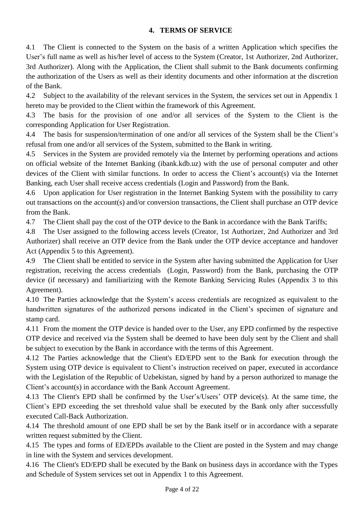# **4. TERMS OF SERVICE**

4.1 The Client is connected to the System on the basis of a written Application which specifies the User's full name as well as his/her level of access to the System (Creator, 1st Authorizer, 2nd Authorizer, 3rd Authorizer). Along with the Application, the Client shall submit to the Bank documents confirming the authorization of the Users as well as their identity documents and other information at the discretion of the Bank.

4.2 Subject to the availability of the relevant services in the System, the services set out in Appendix 1 hereto may be provided to the Client within the framework of this Agreement.

4.3 The basis for the provision of one and/or all services of the System to the Client is the corresponding Application for User Registration.

4.4 The basis for suspension/termination of one and/or all services of the System shall be the Client's refusal from one and/or all services of the System, submitted to the Bank in writing.

4.5 Services in the System are provided remotely via the Internet by performing operations and actions on official website of the Internet Banking (ibank.kdb.uz) with the use of personal computer and other devices of the Client with similar functions. In order to access the Client's account(s) via the Internet Banking, each User shall receive access credentials (Login and Password) from the Bank.

4.6 Upon application for User registration in the Internet Banking System with the possibility to carry out transactions on the account(s) and/or conversion transactions, the Client shall purchase an OTP device from the Bank.

4.7 The Client shall pay the cost of the OTP device to the Bank in accordance with the Bank Tariffs;

4.8 The User assigned to the following access levels (Creator, 1st Authorizer, 2nd Authorizer and 3rd Authorizer) shall receive an OTP device from the Bank under the OTP device acceptance and handover Act (Appendix 5 to this Agreement).

4.9 The Client shall be entitled to service in the System after having submitted the Application for User registration, receiving the access credentials (Login, Password) from the Bank, purchasing the OTP device (if necessary) and familiarizing with the Remote Banking Servicing Rules (Appendix 3 to this Agreement).

4.10 The Parties acknowledge that the System's access credentials are recognized as equivalent to the handwritten signatures of the authorized persons indicated in the Client's specimen of signature and stamp card.

4.11 From the moment the OTP device is handed over to the User, any EPD confirmed by the respective OTP device and received via the System shall be deemed to have been duly sent by the Client and shall be subject to execution by the Bank in accordance with the terms of this Agreement.

4.12 The Parties acknowledge that the Client's ED/EPD sent to the Bank for execution through the System using OTP device is equivalent to Client's instruction received on paper, executed in accordance with the Legislation of the Republic of Uzbekistan, signed by hand by a person authorized to manage the Client's account(s) in accordance with the Bank Account Agreement.

4.13 The Client's EPD shall be confirmed by the User's/Users' OTP device(s). At the same time, the Client's EPD exceeding the set threshold value shall be executed by the Bank only after successfully executed Call-Back Authorization.

4.14 The threshold amount of one EPD shall be set by the Bank itself or in accordance with a separate written request submitted by the Client.

4.15 The types and forms of ED/EPDs available to the Client are posted in the System and may change in line with the System and services development.

4.16 The Client's ED/EPD shall be executed by the Bank on business days in accordance with the Types and Schedule of System services set out in Appendix 1 to this Agreement.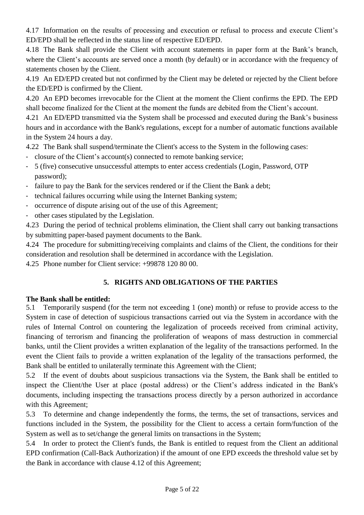4.17 Information on the results of processing and execution or refusal to process and execute Client's ED/EPD shall be reflected in the status line of respective ED/EPD.

4.18 The Bank shall provide the Client with account statements in paper form at the Bank's branch, where the Client's accounts are served once a month (by default) or in accordance with the frequency of statements chosen by the Client.

4.19 An ED/EPD created but not confirmed by the Client may be deleted or rejected by the Client before the ED/EPD is confirmed by the Client.

4.20 An EPD becomes irrevocable for the Client at the moment the Client confirms the EPD. The EPD shall become finalized for the Client at the moment the funds are debited from the Client's account.

4.21 An ED/EPD transmitted via the System shall be processed and executed during the Bank's business hours and in accordance with the Bank's regulations, except for a number of automatic functions available in the System 24 hours a day.

4.22 The Bank shall suspend/terminate the Client's access to the System in the following cases:

- closure of the Client's account(s) connected to remote banking service;
- 5 (five) consecutive unsuccessful attempts to enter access credentials (Login, Password, OTP password);
- failure to pay the Bank for the services rendered or if the Client the Bank a debt;
- technical failures occurring while using the Internet Banking system;
- occurrence of dispute arising out of the use of this Agreement;
- other cases stipulated by the Legislation.

4.23 During the period of technical problems elimination, the Client shall carry out banking transactions by submitting paper-based payment documents to the Bank.

4.24 The procedure for submitting/receiving complaints and claims of the Client, the conditions for their consideration and resolution shall be determined in accordance with the Legislation.

4.25 Phone number for Client service: +99878 120 80 00.

# **5. RIGHTS AND OBLIGATIONS OF THE PARTIES**

# **The Bank shall be entitled:**

5.1 Temporarily suspend (for the term not exceeding 1 (one) month) or refuse to provide access to the System in case of detection of suspicious transactions carried out via the System in accordance with the rules of Internal Control on countering the legalization of proceeds received from criminal activity, financing of terrorism and financing the proliferation of weapons of mass destruction in commercial banks, until the Client provides a written explanation of the legality of the transactions performed. In the event the Client fails to provide a written explanation of the legality of the transactions performed, the Bank shall be entitled to unilaterally terminate this Agreement with the Client;

5.2 If the event of doubts about suspicious transactions via the System, the Bank shall be entitled to inspect the Client/the User at place (postal address) or the Client's address indicated in the Bank's documents, including inspecting the transactions process directly by a person authorized in accordance with this Agreement;

5.3 To determine and change independently the forms, the terms, the set of transactions, services and functions included in the System, the possibility for the Client to access a certain form/function of the System as well as to set/change the general limits on transactions in the System;

5.4 In order to protect the Client's funds, the Bank is entitled to request from the Client an additional EPD confirmation (Call-Back Authorization) if the amount of one EPD exceeds the threshold value set by the Bank in accordance with clause 4.12 of this Agreement;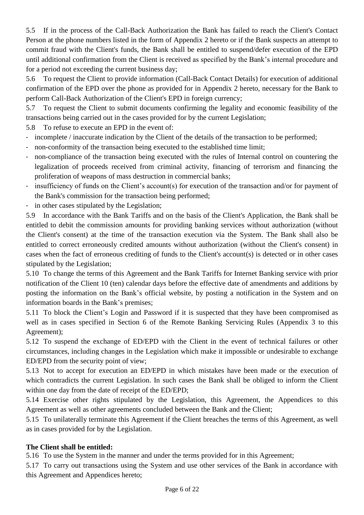5.5 If in the process of the Call-Back Authorization the Bank has failed to reach the Client's Contact Person at the phone numbers listed in the form of Appendix 2 hereto or if the Bank suspects an attempt to commit fraud with the Client's funds, the Bank shall be entitled to suspend/defer execution of the EPD until additional confirmation from the Client is received as specified by the Bank's internal procedure and for a period not exceeding the current business day;

5.6 To request the Client to provide information (Call-Back Contact Details) for execution of additional confirmation of the EPD over the phone as provided for in Appendix 2 hereto, necessary for the Bank to perform Call-Back Authorization of the Client's EPD in foreign currency;

5.7 To request the Client to submit documents confirming the legality and economic feasibility of the transactions being carried out in the cases provided for by the current Legislation;

5.8 To refuse to execute an EPD in the event of:

- incomplete / inaccurate indication by the Client of the details of the transaction to be performed;
- non-conformity of the transaction being executed to the established time limit;
- non-compliance of the transaction being executed with the rules of Internal control on countering the legalization of proceeds received from criminal activity, financing of terrorism and financing the proliferation of weapons of mass destruction in commercial banks;
- insufficiency of funds on the Client's account(s) for execution of the transaction and/or for payment of the Bank's commission for the transaction being performed;
- in other cases stipulated by the Legislation;

5.9 In accordance with the Bank Tariffs and on the basis of the Client's Application, the Bank shall be entitled to debit the commission amounts for providing banking services without authorization (without the Client's consent) at the time of the transaction execution via the System. The Bank shall also be entitled to correct erroneously credited amounts without authorization (without the Client's consent) in cases when the fact of erroneous crediting of funds to the Client's account(s) is detected or in other cases stipulated by the Legislation;

5.10 To change the terms of this Agreement and the Bank Tariffs for Internet Banking service with prior notification of the Client 10 (ten) calendar days before the effective date of amendments and additions by posting the information on the Bank's official website, by posting a notification in the System and on information boards in the Bank's premises;

5.11 To block the Client's Login and Password if it is suspected that they have been compromised as well as in cases specified in Section 6 of the Remote Banking Servicing Rules (Appendix 3 to this Agreement);

5.12 To suspend the exchange of ED/EPD with the Client in the event of technical failures or other circumstances, including changes in the Legislation which make it impossible or undesirable to exchange ED/EPD from the security point of view;

5.13 Not to accept for execution an ED/EPD in which mistakes have been made or the execution of which contradicts the current Legislation. In such cases the Bank shall be obliged to inform the Client within one day from the date of receipt of the ED/EPD;

5.14 Exercise other rights stipulated by the Legislation, this Agreement, the Appendices to this Agreement as well as other agreements concluded between the Bank and the Client;

5.15 To unilaterally terminate this Agreement if the Client breaches the terms of this Agreement, as well as in cases provided for by the Legislation.

# **The Client shall be entitled:**

5.16 To use the System in the manner and under the terms provided for in this Agreement;

5.17 To carry out transactions using the System and use other services of the Bank in accordance with this Agreement and Appendices hereto;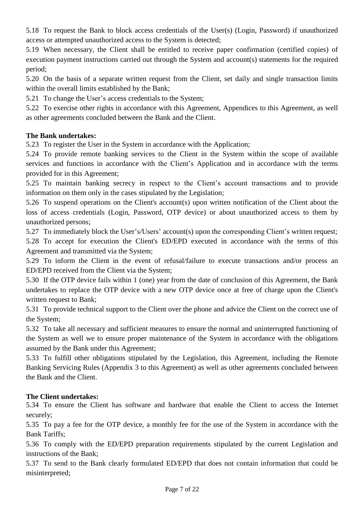5.18 To request the Bank to block access credentials of the User(s) (Login, Password) if unauthorized access or attempted unauthorized access to the System is detected;

5.19 When necessary, the Client shall be entitled to receive paper confirmation (certified copies) of execution payment instructions carried out through the System and account(s) statements for the required period;

5.20 On the basis of a separate written request from the Client, set daily and single transaction limits within the overall limits established by the Bank;

5.21 To change the User's access credentials to the System;

5.22 To exercise other rights in accordance with this Agreement, Appendices to this Agreement, as well as other agreements concluded between the Bank and the Client.

# **The Bank undertakes:**

5.23 To register the User in the System in accordance with the Application;

5.24 To provide remote banking services to the Client in the System within the scope of available services and functions in accordance with the Client's Application and in accordance with the terms provided for in this Agreement;

5.25 To maintain banking secrecy in respect to the Client's account transactions and to provide information on them only in the cases stipulated by the Legislation;

5.26 To suspend operations on the Client's account(s) upon written notification of the Client about the loss of access credentials (Login, Password, OTP device) or about unauthorized access to them by unauthorized persons;

5.27 To immediately block the User's/Users' account(s) upon the corresponding Client's written request; 5.28 To accept for execution the Client's ED/EPD executed in accordance with the terms of this Agreement and transmitted via the System;

5.29 To inform the Client in the event of refusal/failure to execute transactions and/or process an ED/EPD received from the Client via the System;

5.30 If the OTP device fails within 1 (one) year from the date of conclusion of this Agreement, the Bank undertakes to replace the OTP device with a new OTP device once at free of charge upon the Client's written request to Bank;

5.31 To provide technical support to the Client over the phone and advice the Client on the correct use of the System;

5.32 To take all necessary and sufficient measures to ensure the normal and uninterrupted functioning of the System as well we to ensure proper maintenance of the System in accordance with the obligations assumed by the Bank under this Agreement;

5.33 To fulfill other obligations stipulated by the Legislation, this Agreement, including the Remote Banking Servicing Rules (Appendix 3 to this Agreement) as well as other agreements concluded between the Bank and the Client.

# **The Client undertakes:**

5.34 To ensure the Client has software and hardware that enable the Client to access the Internet securely;

5.35 To pay a fee for the OTP device, a monthly fee for the use of the System in accordance with the Bank Tariffs;

5.36 To comply with the ED/EPD preparation requirements stipulated by the current Legislation and instructions of the Bank;

5.37 To send to the Bank clearly formulated ED/EPD that does not contain information that could be misinterpreted;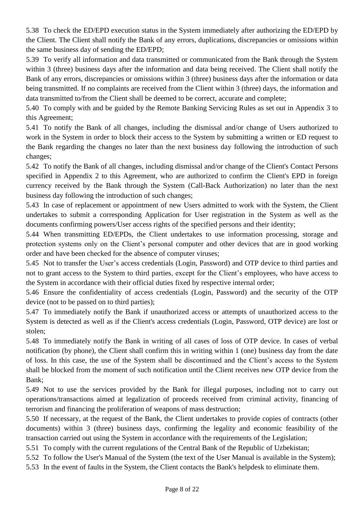5.38 To check the ED/EPD execution status in the System immediately after authorizing the ED/EPD by the Client. The Client shall notify the Bank of any errors, duplications, discrepancies or omissions within the same business day of sending the ED/EPD;

5.39 To verify all information and data transmitted or communicated from the Bank through the System within 3 (three) business days after the information and data being received. The Client shall notify the Bank of any errors, discrepancies or omissions within 3 (three) business days after the information or data being transmitted. If no complaints are received from the Client within 3 (three) days, the information and data transmitted to/from the Client shall be deemed to be correct, accurate and complete;

5.40 To comply with and be guided by the Remote Banking Servicing Rules as set out in Appendix 3 to this Agreement;

5.41 To notify the Bank of all changes, including the dismissal and/or change of Users authorized to work in the System in order to block their access to the System by submitting a written or ED request to the Bank regarding the changes no later than the next business day following the introduction of such changes;

5.42 To notify the Bank of all changes, including dismissal and/or change of the Client's Contact Persons specified in Appendix 2 to this Agreement, who are authorized to confirm the Client's EPD in foreign currency received by the Bank through the System (Call-Back Authorization) no later than the next business day following the introduction of such changes;

5.43 In case of replacement or appointment of new Users admitted to work with the System, the Client undertakes to submit a corresponding Application for User registration in the System as well as the documents confirming powers/User access rights of the specified persons and their identity;

5.44 When transmitting ED/EPDs, the Client undertakes to use information processing, storage and protection systems only on the Client's personal computer and other devices that are in good working order and have been checked for the absence of computer viruses;

5.45 Not to transfer the User's access credentials (Login, Password) and OTP device to third parties and not to grant access to the System to third parties, except for the Client's employees, who have access to the System in accordance with their official duties fixed by respective internal order;

5.46 Ensure the confidentiality of access credentials (Login, Password) and the security of the OTP device (not to be passed on to third parties);

5.47 To immediately notify the Bank if unauthorized access or attempts of unauthorized access to the System is detected as well as if the Client's access credentials (Login, Password, OTP device) are lost or stolen;

5.48 To immediately notify the Bank in writing of all cases of loss of OTP device. In cases of verbal notification (by phone), the Client shall confirm this in writing within 1 (one) business day from the date of loss. In this case, the use of the System shall be discontinued and the Client's access to the System shall be blocked from the moment of such notification until the Client receives new OTP device from the Bank;

5.49 Not to use the services provided by the Bank for illegal purposes, including not to carry out operations/transactions aimed at legalization of proceeds received from criminal activity, financing of terrorism and financing the proliferation of weapons of mass destruction;

5.50 If necessary, at the request of the Bank, the Client undertakes to provide copies of contracts (other documents) within 3 (three) business days, confirming the legality and economic feasibility of the transaction carried out using the System in accordance with the requirements of the Legislation;

5.51 To comply with the current regulations of the Central Bank of the Republic of Uzbekistan;

5.52 To follow the User's Manual of the System (the text of the User Manual is available in the System);

5.53 In the event of faults in the System, the Client contacts the Bank's helpdesk to eliminate them.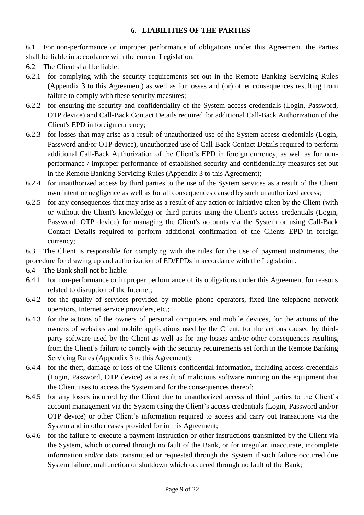## **6. LIABILITIES OF THE PARTIES**

6.1 For non-performance or improper performance of obligations under this Agreement, the Parties shall be liable in accordance with the current Legislation.

- 6.2 The Client shall be liable:
- 6.2.1 for complying with the security requirements set out in the Remote Banking Servicing Rules (Appendix 3 to this Agreement) as well as for losses and (or) other consequences resulting from failure to comply with these security measures;
- 6.2.2 for ensuring the security and confidentiality of the System access credentials (Login, Password, OTP device) and Call-Back Contact Details required for additional Call-Back Authorization of the Client's EPD in foreign currency;
- 6.2.3 for losses that may arise as a result of unauthorized use of the System access credentials (Login, Password and/or OTP device), unauthorized use of Call-Back Contact Details required to perform additional Call-Back Authorization of the Client's EPD in foreign currency, as well as for nonperformance / improper performance of established security and confidentiality measures set out in the Remote Banking Servicing Rules (Appendix 3 to this Agreement);
- 6.2.4 for unauthorized access by third parties to the use of the System services as a result of the Client own intent or negligence as well as for all consequences caused by such unauthorized access;
- 6.2.5 for any consequences that may arise as a result of any action or initiative taken by the Client (with or without the Client's knowledge) or third parties using the Client's access credentials (Login, Password, OTP device) for managing the Client's accounts via the System or using Call-Back Contact Details required to perform additional confirmation of the Clients EPD in foreign currency;

6.3 The Сlient is responsible for complying with the rules for the use of payment instruments, the procedure for drawing up and authorization of ED/EPDs in accordance with the Legislation.

- 6.4 The Bank shall not be liable:
- 6.4.1 for non-performance or improper performance of its obligations under this Agreement for reasons related to disruption of the Internet;
- 6.4.2 for the quality of services provided by mobile phone operators, fixed line telephone network operators, Internet service providers, etc.;
- 6.4.3 for the actions of the owners of personal computers and mobile devices, for the actions of the owners of websites and mobile applications used by the Client, for the actions caused by thirdparty software used by the Client as well as for any losses and/or other consequences resulting from the Client's failure to comply with the security requirements set forth in the Remote Banking Servicing Rules (Appendix 3 to this Agreement);
- 6.4.4 for the theft, damage or loss of the Client's confidential information, including access credentials (Login, Password, OTP device) as a result of malicious software running on the equipment that the Client uses to access the System and for the consequences thereof;
- 6.4.5 for any losses incurred by the Client due to unauthorized access of third parties to the Client's account management via the System using the Client's access credentials (Login, Password and/or OTP device) or other Client's information required to access and carry out transactions via the System and in other cases provided for in this Agreement;
- 6.4.6 for the failure to execute a payment instruction or other instructions transmitted by the Client via the System, which occurred through no fault of the Bank, or for irregular, inaccurate, incomplete information and/or data transmitted or requested through the System if such failure occurred due System failure, malfunction or shutdown which occurred through no fault of the Bank;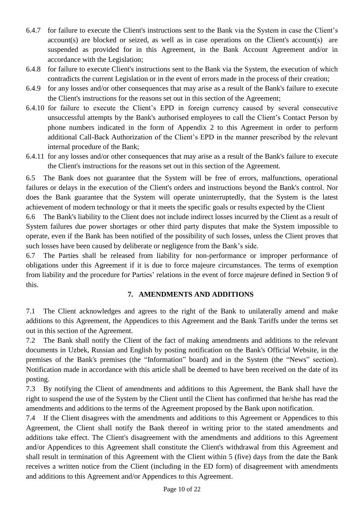- 6.4.7 for failure to execute the Client's instructions sent to the Bank via the System in case the Client's account(s) are blocked or seized, as well as in case operations on the Client's account(s) are suspended as provided for in this Agreement, in the Bank Account Agreement and/or in accordance with the Legislation;
- 6.4.8 for failure to execute Client's instructions sent to the Bank via the System, the execution of which contradicts the current Legislation or in the event of errors made in the process of their creation;
- 6.4.9 for any losses and/or other consequences that may arise as a result of the Bank's failure to execute the Client's instructions for the reasons set out in this section of the Agreement;
- 6.4.10 for failure to execute the Client's EPD in foreign currency caused by several consecutive unsuccessful attempts by the Bank's authorised employees to call the Client's Contact Person by phone numbers indicated in the form of Appendix 2 to this Agreement in order to perform additional Call-Back Authorization of the Client's EPD in the manner prescribed by the relevant internal procedure of the Bank;
- 6.4.11 for any losses and/or other consequences that may arise as a result of the Bank's failure to execute the Client's instructions for the reasons set out in this section of the Agreement.

6.5 The Bank does not guarantee that the System will be free of errors, malfunctions, operational failures or delays in the execution of the Client's orders and instructions beyond the Bank's control. Nor does the Bank guarantee that the System will operate uninterruptedly, that the System is the latest achievement of modern technology or that it meets the specific goals or results expected by the Client

6.6 The Bank's liability to the Client does not include indirect losses incurred by the Client as a result of System failures due power shortages or other third party disputes that make the System impossible to operate, even if the Bank has been notified of the possibility of such losses, unless the Client proves that such losses have been caused by deliberate or negligence from the Bank's side.

6.7 The Parties shall be released from liability for non-performance or improper performance of obligations under this Agreement if it is due to force majeure circumstances. The terms of exemption from liability and the procedure for Parties' relations in the event of force majeure defined in Section 9 of this.

# **7. AMENDMENTS AND ADDITIONS**

7.1 The Client acknowledges and agrees to the right of the Bank to unilaterally amend and make additions to this Agreement, the Appendices to this Agreement and the Bank Tariffs under the terms set out in this section of the Agreement.

7.2 The Bank shall notify the Client of the fact of making amendments and additions to the relevant documents in Uzbek, Russian and English by posting notification on the Bank's Official Website, in the premises of the Bank's premises (the "Information" board) and in the System (the "News" section). Notification made in accordance with this article shall be deemed to have been received on the date of its posting.

7.3 By notifying the Client of amendments and additions to this Agreement, the Bank shall have the right to suspend the use of the System by the Client until the Client has confirmed that he/she has read the amendments and additions to the terms of the Agreement proposed by the Bank upon notification.

7.4 If the Client disagrees with the amendments and additions to this Agreement or Appendices to this Agreement, the Client shall notify the Bank thereof in writing prior to the stated amendments and additions take effect. The Client's disagreement with the amendments and additions to this Agreement and/or Appendices to this Agreement shall constitute the Client's withdrawal from this Agreement and shall result in termination of this Agreement with the Client within 5 (five) days from the date the Bank receives a written notice from the Client (including in the ED form) of disagreement with amendments and additions to this Agreement and/or Appendices to this Agreement.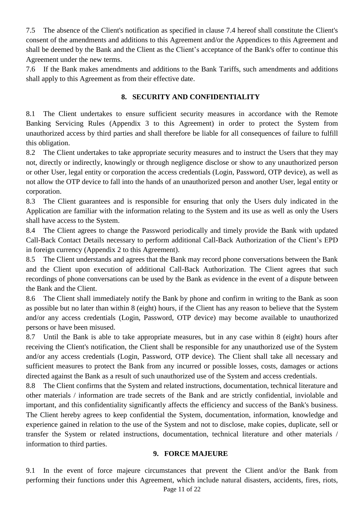7.5 The absence of the Client's notification as specified in clause 7.4 hereof shall constitute the Client's consent of the amendments and additions to this Agreement and/or the Appendices to this Agreement and shall be deemed by the Bank and the Client as the Client's acceptance of the Bank's offer to continue this Agreement under the new terms.

7.6 If the Bank makes amendments and additions to the Bank Tariffs, such amendments and additions shall apply to this Agreement as from their effective date.

# **8. SECURITY AND CONFIDENTIALITY**

8.1 The Client undertakes to ensure sufficient security measures in accordance with the Remote Banking Servicing Rules (Appendix 3 to this Agreement) in order to protect the System from unauthorized access by third parties and shall therefore be liable for all consequences of failure to fulfill this obligation.

8.2 The Client undertakes to take appropriate security measures and to instruct the Users that they may not, directly or indirectly, knowingly or through negligence disclose or show to any unauthorized person or other User, legal entity or corporation the access credentials (Login, Password, OTP device), as well as not allow the OTP device to fall into the hands of an unauthorized person and another User, legal entity or corporation.

8.3 The Client guarantees and is responsible for ensuring that only the Users duly indicated in the Application are familiar with the information relating to the System and its use as well as only the Users shall have access to the System.

8.4 The Client agrees to change the Password periodically and timely provide the Bank with updated Call-Back Contact Details necessary to perform additional Call-Back Authorization of the Client's EPD in foreign currency (Appendix 2 to this Agreement).

8.5 The Client understands and agrees that the Bank may record phone conversations between the Bank and the Client upon execution of additional Call-Back Authorization. The Client agrees that such recordings of phone conversations can be used by the Bank as evidence in the event of a dispute between the Bank and the Client.

8.6 The Client shall immediately notify the Bank by phone and confirm in writing to the Bank as soon as possible but no later than within 8 (eight) hours, if the Client has any reason to believe that the System and/or any access credentials (Login, Password, OTP device) may become available to unauthorized persons or have been misused.

8.7 Until the Bank is able to take appropriate measures, but in any case within 8 (eight) hours after receiving the Client's notification, the Client shall be responsible for any unauthorized use of the System and/or any access credentials (Login, Password, OTP device). The Client shall take all necessary and sufficient measures to protect the Bank from any incurred or possible losses, costs, damages or actions directed against the Bank as a result of such unauthorized use of the System and access credentials.

8.8 The Client confirms that the System and related instructions, documentation, technical literature and other materials / information are trade secrets of the Bank and are strictly confidential, inviolable and important, and this confidentiality significantly affects the efficiency and success of the Bank's business. The Client hereby agrees to keep confidential the System, documentation, information, knowledge and experience gained in relation to the use of the System and not to disclose, make copies, duplicate, sell or transfer the System or related instructions, documentation, technical literature and other materials / information to third parties.

### **9. FORCE MAJEURE**

Page 11 of 22 9.1 In the event of force majeure circumstances that prevent the Client and/or the Bank from performing their functions under this Agreement, which include natural disasters, accidents, fires, riots,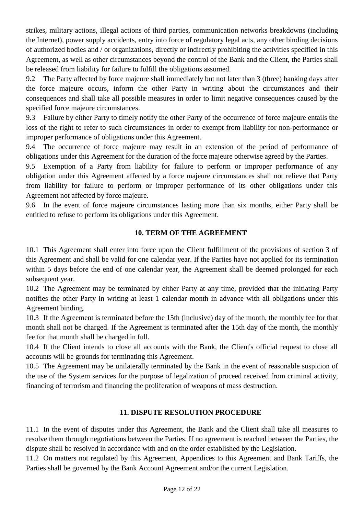strikes, military actions, illegal actions of third parties, communication networks breakdowns (including the Internet), power supply accidents, entry into force of regulatory legal acts, any other binding decisions of authorized bodies and / or organizations, directly or indirectly prohibiting the activities specified in this Agreement, as well as other circumstances beyond the control of the Bank and the Client, the Parties shall be released from liability for failure to fulfill the obligations assumed.

9.2 The Party affected by force majeure shall immediately but not later than 3 (three) banking days after the force majeure occurs, inform the other Party in writing about the circumstances and their consequences and shall take all possible measures in order to limit negative consequences caused by the specified force majeure circumstances.

9.3 Failure by either Party to timely notify the other Party of the occurrence of force majeure entails the loss of the right to refer to such circumstances in order to exempt from liability for non-performance or improper performance of obligations under this Agreement.

9.4 The occurrence of force majeure may result in an extension of the period of performance of obligations under this Agreement for the duration of the force majeure otherwise agreed by the Parties.

9.5 Exemption of a Party from liability for failure to perform or improper performance of any obligation under this Agreement affected by a force majeure circumstances shall not relieve that Party from liability for failure to perform or improper performance of its other obligations under this Agreement not affected by force majeure.

9.6 In the event of force majeure circumstances lasting more than six months, either Party shall be entitled to refuse to perform its obligations under this Agreement.

# **10. TERM OF THE AGREEMENT**

10.1 This Agreement shall enter into force upon the Client fulfillment of the provisions of section 3 of this Agreement and shall be valid for one calendar year. If the Parties have not applied for its termination within 5 days before the end of one calendar year, the Agreement shall be deemed prolonged for each subsequent year.

10.2 The Agreement may be terminated by either Party at any time, provided that the initiating Party notifies the other Party in writing at least 1 calendar month in advance with all obligations under this Agreement binding.

10.3 If the Agreement is terminated before the 15th (inclusive) day of the month, the monthly fee for that month shall not be charged. If the Agreement is terminated after the 15th day of the month, the monthly fee for that month shall be charged in full.

10.4 If the Client intends to close all accounts with the Bank, the Client's official request to close all accounts will be grounds for terminating this Agreement.

10.5 The Agreement may be unilaterally terminated by the Bank in the event of reasonable suspicion of the use of the System services for the purpose of legalization of proceed received from criminal activity, financing of terrorism and financing the proliferation of weapons of mass destruction.

# **11. DISPUTE RESOLUTION PROCEDURE**

11.1 In the event of disputes under this Agreement, the Bank and the Client shall take all measures to resolve them through negotiations between the Parties. If no agreement is reached between the Parties, the dispute shall be resolved in accordance with and on the order established by the Legislation.

11.2 On matters not regulated by this Agreement, Appendices to this Agreement and Bank Tariffs, the Parties shall be governed by the Bank Account Agreement and/or the current Legislation.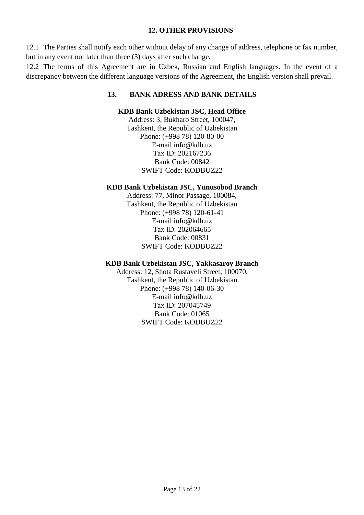### **12. OTHER PROVISIONS**

12.1 The Parties shall notify each other without delay of any change of address, telephone or fax number, but in any event not later than three (3) days after such change.

12.2 The terms of this Agreement are in Uzbek, Russian and English languages. In the event of a discrepancy between the different language versions of the Agreement, the English version shall prevail.

# **13. BANK ADRESS AND BANK DETAILS**

### **KDB Bank Uzbekistan JSC, Head Office**

Address: 3, Bukharo Street, 100047, Tashkent, the Republic of Uzbekistan Phone: (+998 78) 120-80-00 E-mail info@kdb.uz Tax ID: 202167236 Bank Code: 00842 SWIFT Code: KODBUZ22

#### **KDB Bank Uzbekistan JSC, Yunusobod Branch**

Address: 77, Minor Passage, 100084, Tashkent, the Republic of Uzbekistan Phone: (+998 78) 120-61-41 E-mail info@kdb.uz Tax ID: 202064665 Bank Code: 00831 SWIFT Code: KODBUZ22

# **KDB Bank Uzbekistan JSC, Yakkasaroy Branch**

Address: 12, Shota Rustaveli Street, 100070, Tashkent, the Republic of Uzbekistan Phone: (+998 78) 140-06-30 E-mail info@kdb.uz Tax ID: 207045749 Bank Code: 01065 SWIFT Code: KODBUZ22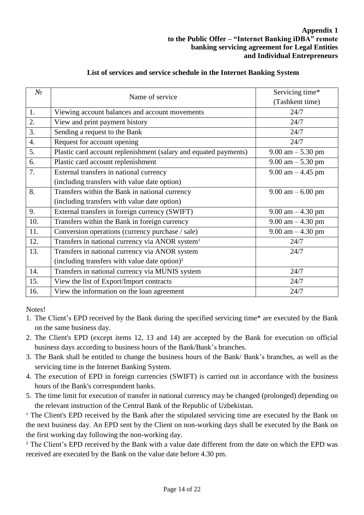| $N_2$            | Name of service                                                  | Servicing time*                     |  |  |  |
|------------------|------------------------------------------------------------------|-------------------------------------|--|--|--|
|                  |                                                                  | (Tashkent time)                     |  |  |  |
| 1.               | Viewing account balances and account movements                   | 24/7                                |  |  |  |
| 2.               | View and print payment history                                   | 24/7                                |  |  |  |
| 3.               | Sending a request to the Bank                                    | 24/7                                |  |  |  |
| $\overline{4}$ . | Request for account opening                                      | 24/7                                |  |  |  |
| 5.               | Plastic card account replenishment (salary and equated payments) | $9.00 \text{ am} - 5.30 \text{ pm}$ |  |  |  |
| 6.               | Plastic card account replenishment                               | 9.00 am $-$ 5.30 pm                 |  |  |  |
| 7.               | External transfers in national currency                          | $9.00$ am $-4.45$ pm                |  |  |  |
|                  | (including transfers with value date option)                     |                                     |  |  |  |
| 8.               | Transfers within the Bank in national currency                   | $9.00 \text{ am} - 6.00 \text{ pm}$ |  |  |  |
|                  | (including transfers with value date option)                     |                                     |  |  |  |
| 9.               | External transfers in foreign currency (SWIFT)                   | $9.00 \text{ am} - 4.30 \text{ pm}$ |  |  |  |
| 10.              | Transfers within the Bank in foreign currency                    | $9.00$ am $-4.30$ pm                |  |  |  |
| 11.              | Conversion operations (currency purchase / sale)                 | $9.00$ am $-4.30$ pm                |  |  |  |
| 12.              | Transfers in national currency via ANOR system <sup>1</sup>      | 24/7                                |  |  |  |
| 13.              | Transfers in national currency via ANOR system                   | 24/7                                |  |  |  |
|                  | (including transfers with value date option) <sup>2</sup>        |                                     |  |  |  |
| 14.              | Transfers in national currency via MUNIS system                  | 24/7                                |  |  |  |
| 15.              | View the list of Export/Import contracts                         | 24/7                                |  |  |  |
| 16.              | View the information on the loan agreement                       | 24/7                                |  |  |  |
|                  |                                                                  |                                     |  |  |  |

# **List of services and service schedule in the Internet Banking System**

Notes!

- 1. The Client's EPD received by the Bank during the specified servicing time\* are executed by the Bank on the same business day.
- 2. The Client's EPD (except items 12, 13 and 14) are accepted by the Bank for execution on official business days according to business hours of the Bank/Bank's branches.
- 3. The Bank shall be entitled to change the business hours of the Bank/ Bank's branches, as well as the servicing time in the Internet Banking System.
- 4. The execution of EPD in foreign currencies (SWIFT) is carried out in accordance with the business hours of the Bank's correspondent banks.
- 5. The time limit for execution of transfer in national currency may be changed (prolonged) depending on the relevant instruction of the Central Bank of the Republic of Uzbekistan.

<sup>1</sup> The Client's EPD received by the Bank after the stipulated servicing time are executed by the Bank on the next business day. An EPD sent by the Client on non-working days shall be executed by the Bank on the first working day following the non-working day.

<sup>2</sup> The Client's EPD received by the Bank with a value date different from the date on which the EPD was received are executed by the Bank on the value date before 4.30 pm.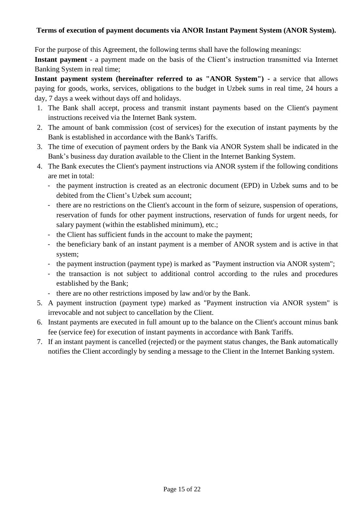# **Terms of execution of payment documents via ANOR Instant Payment System (ANOR System).**

For the purpose of this Agreement, the following terms shall have the following meanings:

**Instant payment** - a payment made on the basis of the Client's instruction transmitted via Internet Banking System in real time;

**Instant payment system (hereinafter referred to as "ANOR System") -** a service that allows paying for goods, works, services, obligations to the budget in Uzbek sums in real time, 24 hours a day, 7 days a week without days off and holidays.

- 1. The Bank shall accept, process and transmit instant payments based on the Client's payment instructions received via the Internet Bank system.
- 2. The amount of bank commission (cost of services) for the execution of instant payments by the Bank is established in accordance with the Bank's Tariffs.
- 3. The time of execution of payment orders by the Bank via ANOR System shall be indicated in the Bank's business day duration available to the Client in the Internet Banking System.
- 4. The Bank executes the Client's payment instructions via ANOR system if the following conditions are met in total:
	- the payment instruction is created as an electronic document (EPD) in Uzbek sums and to be debited from the Client's Uzbek sum account;
	- there are no restrictions on the Client's account in the form of seizure, suspension of operations, reservation of funds for other payment instructions, reservation of funds for urgent needs, for salary payment (within the established minimum), etc.;
	- the Client has sufficient funds in the account to make the payment;
	- the beneficiary bank of an instant payment is a member of ANOR system and is active in that system;
	- the payment instruction (payment type) is marked as "Payment instruction via ANOR system";
	- the transaction is not subject to additional control according to the rules and procedures established by the Bank;
	- there are no other restrictions imposed by law and/or by the Bank.
- 5. A payment instruction (payment type) marked as "Payment instruction via ANOR system" is irrevocable and not subject to cancellation by the Client.
- 6. Instant payments are executed in full amount up to the balance on the Client's account minus bank fee (service fee) for execution of instant payments in accordance with Bank Tariffs.
- 7. If an instant payment is cancelled (rejected) or the payment status changes, the Bank automatically notifies the Client accordingly by sending a message to the Client in the Internet Banking system.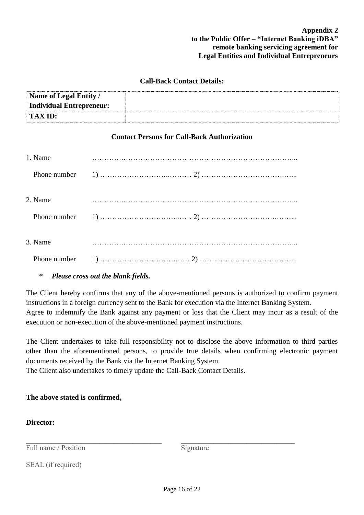## **Call-Back Contact Details:**

| Name of Legal Entity /   |  |
|--------------------------|--|
| Individual Entrepreneur: |  |
| <b>TAX ID:</b>           |  |

#### **Contact Persons for Call-Back Authorization**

| 1. Name |  |
|---------|--|
|         |  |
| 2. Name |  |
|         |  |
| 3. Name |  |
|         |  |

# *\* Please cross out the blank fields.*

The Client hereby confirms that any of the above-mentioned persons is authorized to confirm payment instructions in a foreign currency sent to the Bank for execution via the Internet Banking System. Agree to indemnify the Bank against any payment or loss that the Client may incur as a result of the execution or non-execution of the above-mentioned payment instructions.

The Client undertakes to take full responsibility not to disclose the above information to third parties other than the aforementioned persons, to provide true details when confirming electronic payment documents received by the Bank via the Internet Banking System.

The Client also undertakes to timely update the Call-Back Contact Details.

# **The above stated is confirmed,**

**\_\_\_\_\_\_\_\_\_\_\_\_\_\_\_\_\_\_\_\_\_\_\_\_\_\_\_\_\_\_\_\_\_\_\_\_\_** 

### **Director:**

Full name / Position

Signature

**\_\_\_\_\_\_\_\_\_\_\_\_\_\_\_\_\_\_\_\_\_\_\_\_\_\_\_\_\_\_\_** 

SEAL (if required)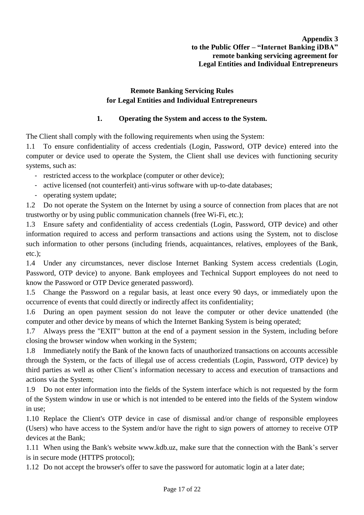# **Remote Banking Servicing Rules for Legal Entities and Individual Entrepreneurs**

# **1. Operating the System and access to the System.**

The Client shall comply with the following requirements when using the System:

1.1 To ensure confidentiality of access credentials (Login, Password, OTP device) entered into the computer or device used to operate the System, the Client shall use devices with functioning security systems, such as:

- restricted access to the workplace (computer or other device);
- active licensed (not counterfeit) anti-virus software with up-to-date databases;
- operating system update;

1.2 Do not operate the System on the Internet by using a source of connection from places that are not trustworthy or by using public communication channels (free Wi-Fi, etc.);

1.3 Ensure safety and confidentiality of access credentials (Login, Password, OTP device) and other information required to access and perform transactions and actions using the System, not to disclose such information to other persons (including friends, acquaintances, relatives, employees of the Bank, etc.);

1.4 Under any circumstances, never disclose Internet Banking System access credentials (Login, Password, OTP device) to anyone. Bank employees and Technical Support employees do not need to know the Password or OTP Device generated password).

1.5 Change the Password on a regular basis, at least once every 90 days, or immediately upon the occurrence of events that could directly or indirectly affect its confidentiality;

1.6 During an open payment session do not leave the computer or other device unattended (the computer and other device by means of which the Internet Banking System is being operated;

1.7 Always press the "EXIT" button at the end of a payment session in the System, including before closing the browser window when working in the System;

1.8 Immediately notify the Bank of the known facts of unauthorized transactions on accounts accessible through the System, or the facts of illegal use of access credentials (Login, Password, OTP device) by third parties as well as other Client's information necessary to access and execution of transactions and actions via the System;

1.9 Do not enter information into the fields of the System interface which is not requested by the form of the System window in use or which is not intended to be entered into the fields of the System window in use;

1.10 Replace the Client's OTP device in case of dismissal and/or change of responsible employees (Users) who have access to the System and/or have the right to sign powers of attorney to receive OTP devices at the Bank;

1.11 When using the Bank's website www.kdb.uz, make sure that the connection with the Bank's server is in secure mode (HTTPS protocol);

1.12 Do not accept the browser's offer to save the password for automatic login at a later date;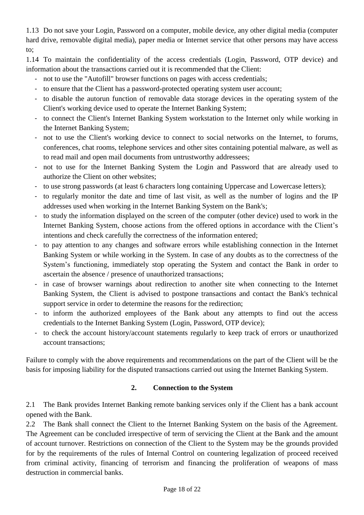1.13 Do not save your Login, Password on a computer, mobile device, any other digital media (computer hard drive, removable digital media), paper media or Internet service that other persons may have access to;

1.14 To maintain the confidentiality of the access credentials (Login, Password, OTP device) and information about the transactions carried out it is recommended that the Client:

- not to use the "Autofill" browser functions on pages with access credentials;
- to ensure that the Client has a password-protected operating system user account;
- to disable the autorun function of removable data storage devices in the operating system of the Client's working device used to operate the Internet Banking System;
- to connect the Client's Internet Banking System workstation to the Internet only while working in the Internet Banking System;
- not to use the Client's working device to connect to social networks on the Internet, to forums, conferences, chat rooms, telephone services and other sites containing potential malware, as well as to read mail and open mail documents from untrustworthy addressees;
- not to use for the Internet Banking System the Login and Password that are already used to authorize the Client on other websites;
- to use strong passwords (at least 6 characters long containing Uppercase and Lowercase letters);
- to regularly monitor the date and time of last visit, as well as the number of logins and the IP addresses used when working in the Internet Banking System on the Bank's;
- to study the information displayed on the screen of the computer (other device) used to work in the Internet Banking System, choose actions from the offered options in accordance with the Client's intentions and check carefully the correctness of the information entered;
- to pay attention to any changes and software errors while establishing connection in the Internet Banking System or while working in the System. In case of any doubts as to the correctness of the System's functioning, immediately stop operating the System and contact the Bank in order to ascertain the absence / presence of unauthorized transactions;
- in case of browser warnings about redirection to another site when connecting to the Internet Banking System, the Client is advised to postpone transactions and contact the Bank's technical support service in order to determine the reasons for the redirection;
- to inform the authorized employees of the Bank about any attempts to find out the access credentials to the Internet Banking System (Login, Password, OTP device);
- to check the account history/account statements regularly to keep track of errors or unauthorized account transactions;

Failure to comply with the above requirements and recommendations on the part of the Client will be the basis for imposing liability for the disputed transactions carried out using the Internet Banking System.

# **2. Connection to the System**

2.1 The Bank provides Internet Banking remote banking services only if the Client has a bank account opened with the Bank.

2.2 The Bank shall connect the Client to the Internet Banking System on the basis of the Agreement. The Agreement can be concluded irrespective of term of servicing the Client at the Bank and the amount of account turnover. Restrictions on connection of the Client to the System may be the grounds provided for by the requirements of the rules of Internal Control on countering legalization of proceed received from criminal activity, financing of terrorism and financing the proliferation of weapons of mass destruction in commercial banks.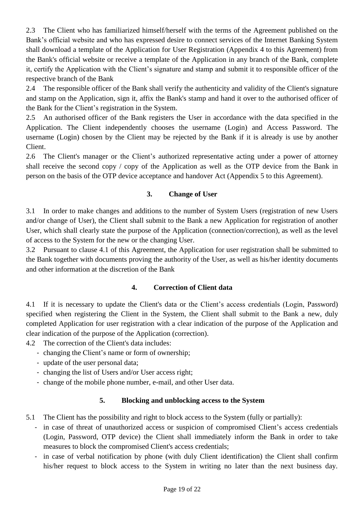2.3 The Client who has familiarized himself/herself with the terms of the Agreement published on the Bank's official website and who has expressed desire to connect services of the Internet Banking System shall download a template of the Application for User Registration (Appendix 4 to this Agreement) from the Bank's official website or receive a template of the Application in any branch of the Bank, complete it, certify the Application with the Client's signature and stamp and submit it to responsible officer of the respective branch of the Bank

2.4 The responsible officer of the Bank shall verify the authenticity and validity of the Client's signature and stamp on the Application, sign it, affix the Bank's stamp and hand it over to the authorised officer of the Bank for the Client's registration in the System.

2.5 An authorised officer of the Bank registers the User in accordance with the data specified in the Application. The Client independently chooses the username (Login) and Access Password. The username (Login) chosen by the Client may be rejected by the Bank if it is already is use by another Client.

2.6 The Client's manager or the Client's authorized representative acting under a power of attorney shall receive the second copy / copy of the Application as well as the OTP device from the Bank in person on the basis of the OTP device acceptance and handover Act (Appendix 5 to this Agreement).

# **3. Change of User**

3.1 In order to make changes and additions to the number of System Users (registration of new Users and/or change of User), the Client shall submit to the Bank a new Application for registration of another User, which shall clearly state the purpose of the Application (connection/correction), as well as the level of access to the System for the new or the changing User.

3.2 Pursuant to clause 4.1 of this Agreement, the Application for user registration shall be submitted to the Bank together with documents proving the authority of the User, as well as his/her identity documents and other information at the discretion of the Bank

# **4. Correction of Client data**

4.1 If it is necessary to update the Client's data or the Client's access credentials (Login, Password) specified when registering the Client in the System, the Client shall submit to the Bank a new, duly completed Application for user registration with a clear indication of the purpose of the Application and clear indication of the purpose of the Application (correction).

- 4.2 The correction of the Client's data includes:
	- changing the Client's name or form of ownership;
	- update of the user personal data;
	- changing the list of Users and/or User access right;
	- change of the mobile phone number, e-mail, and other User data.

# **5. Blocking and unblocking access to the System**

- 5.1 The Client has the possibility and right to block access to the System (fully or partially):
	- in case of threat of unauthorized access or suspicion of compromised Client's access credentials (Login, Password, OTP device) the Client shall immediately inform the Bank in order to take measures to block the compromised Client's access credentials;
	- in case of verbal notification by phone (with duly Client identification) the Client shall confirm his/her request to block access to the System in writing no later than the next business day.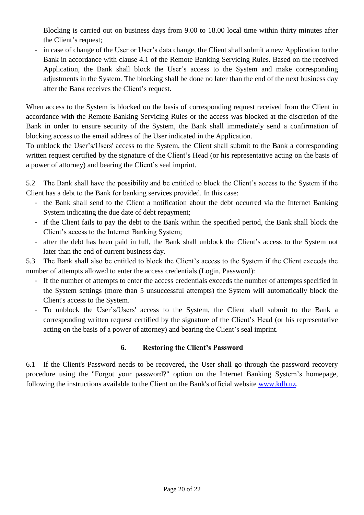Blocking is carried out on business days from 9.00 to 18.00 local time within thirty minutes after the Client's request;

- in case of change of the User or User's data change, the Client shall submit a new Application to the Bank in accordance with clause 4.1 of the Remote Banking Servicing Rules. Based on the received Application, the Bank shall block the User's access to the System and make corresponding adjustments in the System. The blocking shall be done no later than the end of the next business day after the Bank receives the Client's request.

When access to the System is blocked on the basis of corresponding request received from the Client in accordance with the Remote Banking Servicing Rules or the access was blocked at the discretion of the Bank in order to ensure security of the System, the Bank shall immediately send a confirmation of blocking access to the email address of the User indicated in the Application.

To unblock the User's/Users' access to the System, the Client shall submit to the Bank a corresponding written request certified by the signature of the Client's Head (or his representative acting on the basis of a power of attorney) and bearing the Client's seal imprint.

5.2 The Bank shall have the possibility and be entitled to block the Client's access to the System if the Client has a debt to the Bank for banking services provided. In this case:

- the Bank shall send to the Client a notification about the debt occurred via the Internet Banking System indicating the due date of debt repayment;
- if the Client fails to pay the debt to the Bank within the specified period, the Bank shall block the Client's access to the Internet Banking System;
- after the debt has been paid in full, the Bank shall unblock the Client's access to the System not later than the end of current business day.

5.3 The Bank shall also be entitled to block the Client's access to the System if the Client exceeds the number of attempts allowed to enter the access credentials (Login, Password):

- If the number of attempts to enter the access credentials exceeds the number of attempts specified in the System settings (more than 5 unsuccessful attempts) the System will automatically block the Client's access to the System.
- To unblock the User's/Users' access to the System, the Client shall submit to the Bank a corresponding written request certified by the signature of the Client's Head (or his representative acting on the basis of a power of attorney) and bearing the Client's seal imprint.

# **6. Restoring the Client's Password**

6.1 If the Client's Password needs to be recovered, the User shall go through the password recovery procedure using the "Forgot your password?" option on the Internet Banking System's homepage, following the instructions available to the Client on the Bank's official website [www.kdb.uz.](http://www.kdb.uz/)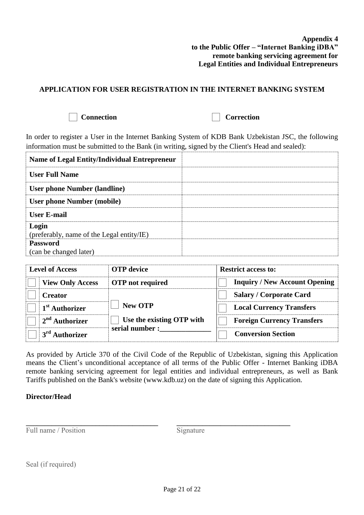#### **Appendix 4 to the Public Offer – "Internet Banking iDBA" remote banking servicing agreement for Legal Entities and Individual Entrepreneurs**

# **APPLICATION FOR USER REGISTRATION IN THE INTERNET BANKING SYSTEM**



**Connection Correction** 

In order to register a User in the Internet Banking System of KDB Bank Uzbekistan JSC, the following information must be submitted to the Bank (in writing, signed by the Client's Head and sealed):

| <b>Name of Legal Entity/Individual Entrepreneur</b> |  |
|-----------------------------------------------------|--|
| <b>User Full Name</b>                               |  |
| <b>User phone Number (landline)</b>                 |  |
| <b>User phone Number (mobile)</b>                   |  |
| <b>User E-mail</b>                                  |  |
| Login<br>(preferably, name of the Legal entity/IE)  |  |
| <b>Password</b><br>(can be changed later)           |  |

| <b>Level of Access</b> |                            | <b>OTP</b> device         | <b>Restrict access to:</b>           |  |  |  |
|------------------------|----------------------------|---------------------------|--------------------------------------|--|--|--|
|                        | <b>View Only Access</b>    | <b>OTP</b> not required   | <b>Inquiry / New Account Opening</b> |  |  |  |
|                        | <b>Creator</b>             |                           | <b>Salary / Corporate Card</b>       |  |  |  |
|                        | 1 <sup>st</sup> Authorizer | <b>New OTP</b>            | <b>Local Currency Transfers</b>      |  |  |  |
|                        | $2nd$ Authorizer           | Use the existing OTP with | <b>Foreign Currency Transfers</b>    |  |  |  |
|                        | 3 <sup>rd</sup> Authorizer | serial number:            | <b>Conversion Section</b>            |  |  |  |

As provided by Article 370 of the Civil Code of the Republic of Uzbekistan, signing this Application means the Client's unconditional acceptance of all terms of the Public Offer - Internet Banking iDBA remote banking servicing agreement for legal entities and individual entrepreneurs, as well as Bank Tariffs published on the Bank's website (www.kdb.uz) on the date of signing this Application.

# **Director/Head**

Full name / Position

**\_\_\_\_\_\_\_\_\_\_\_\_\_\_\_\_\_\_\_\_\_\_\_\_\_\_\_\_\_\_\_\_\_\_\_\_**

Signature

**\_\_\_\_\_\_\_\_\_\_\_\_\_\_\_\_\_\_\_\_\_\_\_\_\_\_\_\_\_\_\_** 

Seal (if required)